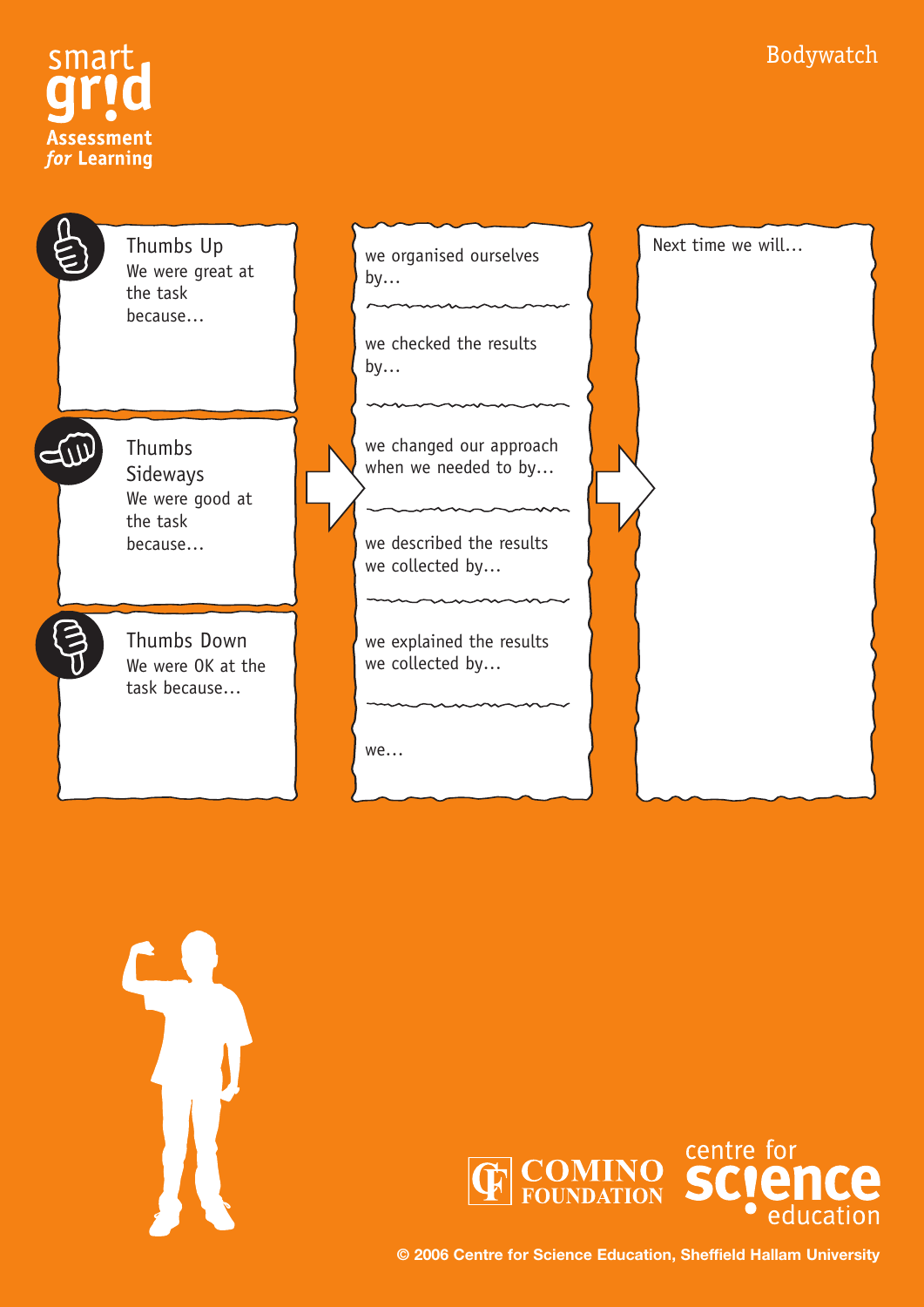#### Bodywatch



 $\sqrt{2}$ 

Thumbs Up We were great at the task because…

Thumbs Sideways We were good at the task because…

Thumbs Down We were OK at the task because…

we organised ourselves  $by...$ 

 $\sim$ 

we checked the results by…

we changed our approach when we needed to by...

we described the results we collected by…

we explained the results we collected by…

we…







**© 2006 Centre for Science Education, Sheffield Hallam University**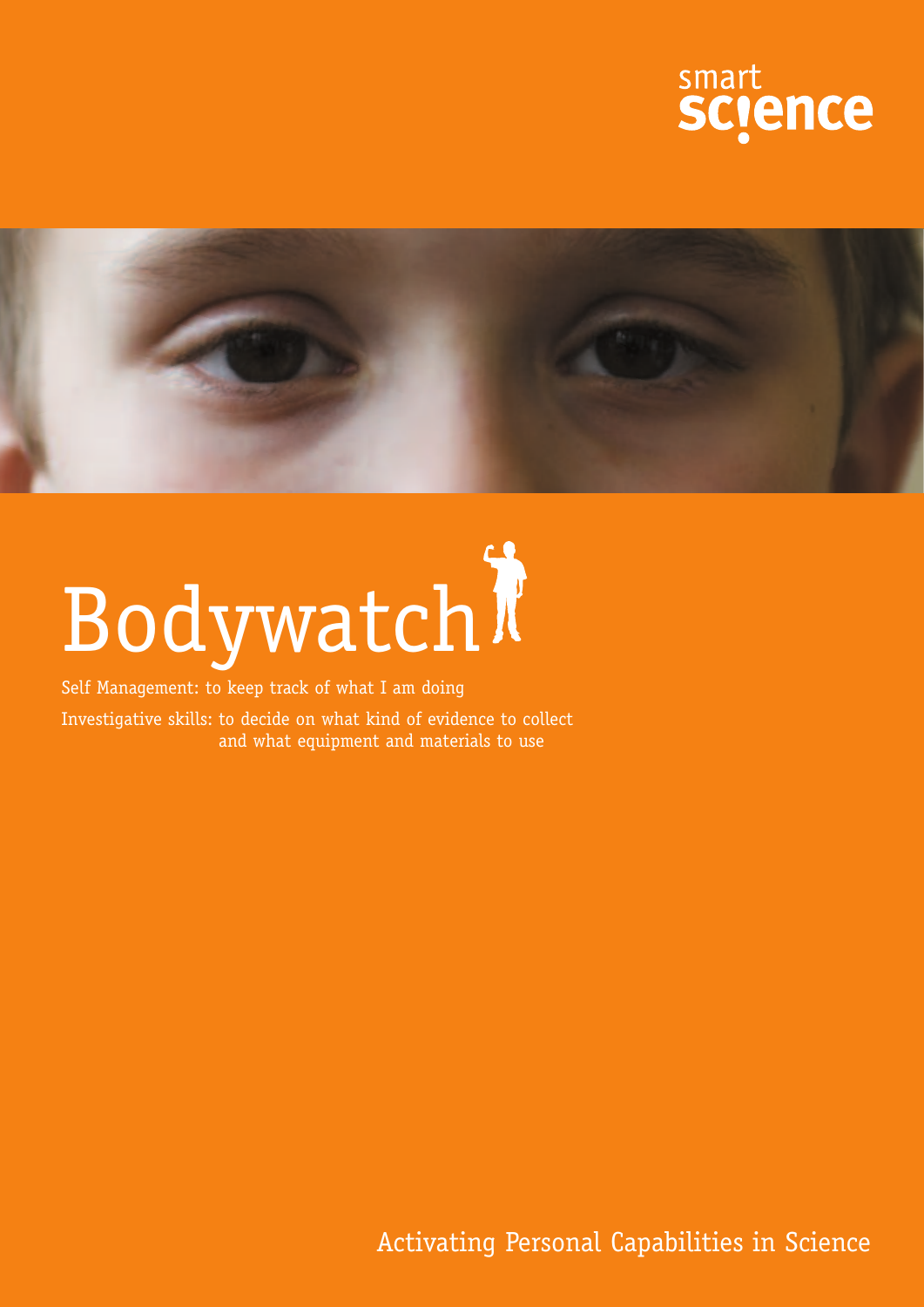



## Bodywatch

Self Management: to keep track of what I am doing

Investigative skills: to decide on what kind of evidence to collect and what equipment and materials to use

Activating Personal Capabilities in Science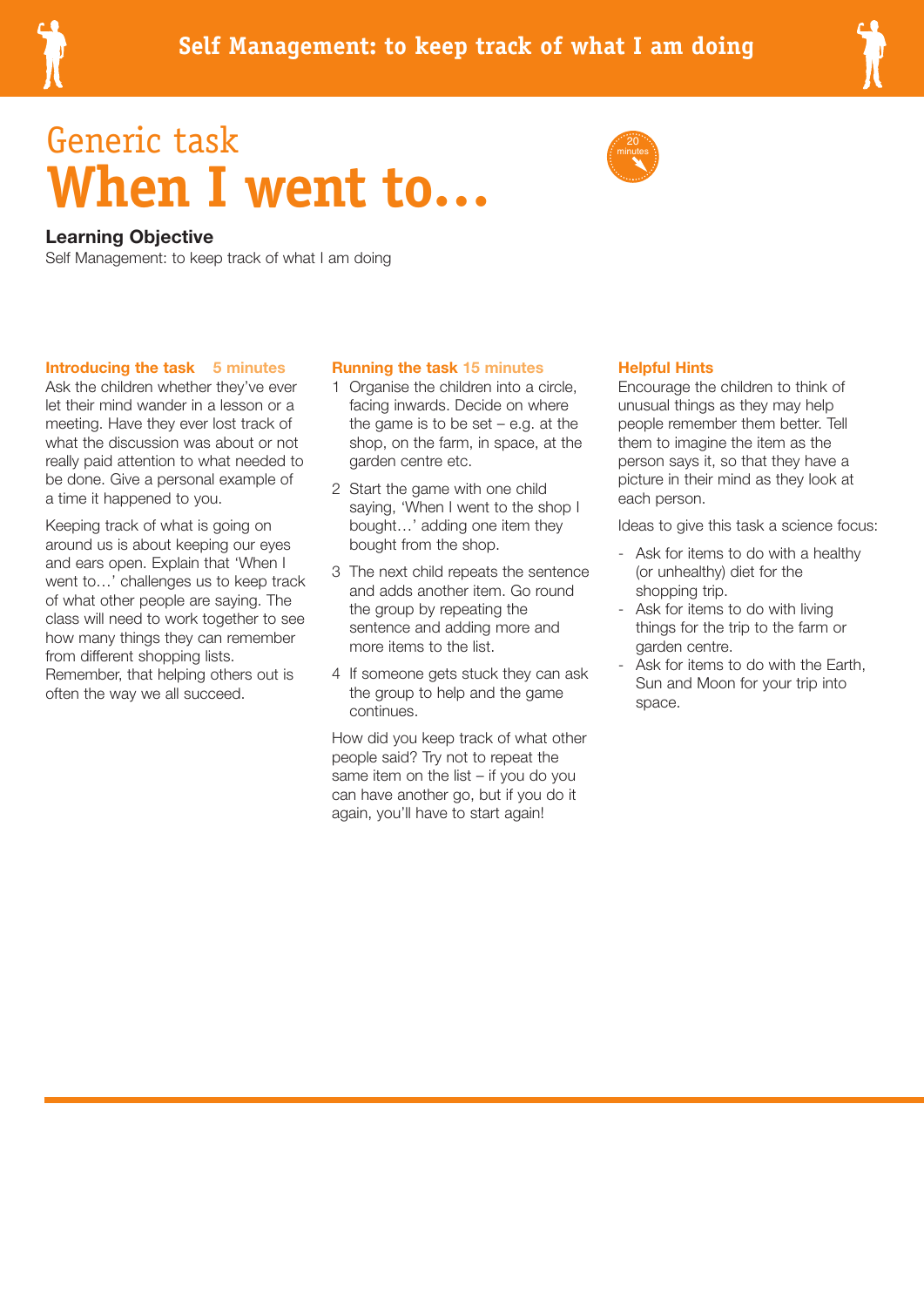

## Generic task **When I went to…**



#### **Learning Objective**

Self Management: to keep track of what I am doing

#### **Introducing the task 5 minutes**

Ask the children whether they've ever let their mind wander in a lesson or a meeting. Have they ever lost track of what the discussion was about or not really paid attention to what needed to be done. Give a personal example of a time it happened to you.

Keeping track of what is going on around us is about keeping our eyes and ears open. Explain that 'When I went to…' challenges us to keep track of what other people are saying. The class will need to work together to see how many things they can remember from different shopping lists. Remember, that helping others out is often the way we all succeed.

#### **Running the task 15 minutes**

- 1 Organise the children into a circle, facing inwards. Decide on where the game is to be set  $-$  e.g. at the shop, on the farm, in space, at the garden centre etc.
- 2 Start the game with one child saying, 'When I went to the shop I bought…' adding one item they bought from the shop.
- 3 The next child repeats the sentence and adds another item. Go round the group by repeating the sentence and adding more and more items to the list.
- 4 If someone gets stuck they can ask the group to help and the game continues.

How did you keep track of what other people said? Try not to repeat the same item on the list – if you do you can have another go, but if you do it again, you'll have to start again!

#### **Helpful Hints**

Encourage the children to think of unusual things as they may help people remember them better. Tell them to imagine the item as the person says it, so that they have a picture in their mind as they look at each person.

Ideas to give this task a science focus:

- Ask for items to do with a healthy (or unhealthy) diet for the shopping trip.
- Ask for items to do with living things for the trip to the farm or garden centre.
- Ask for items to do with the Earth, Sun and Moon for your trip into space.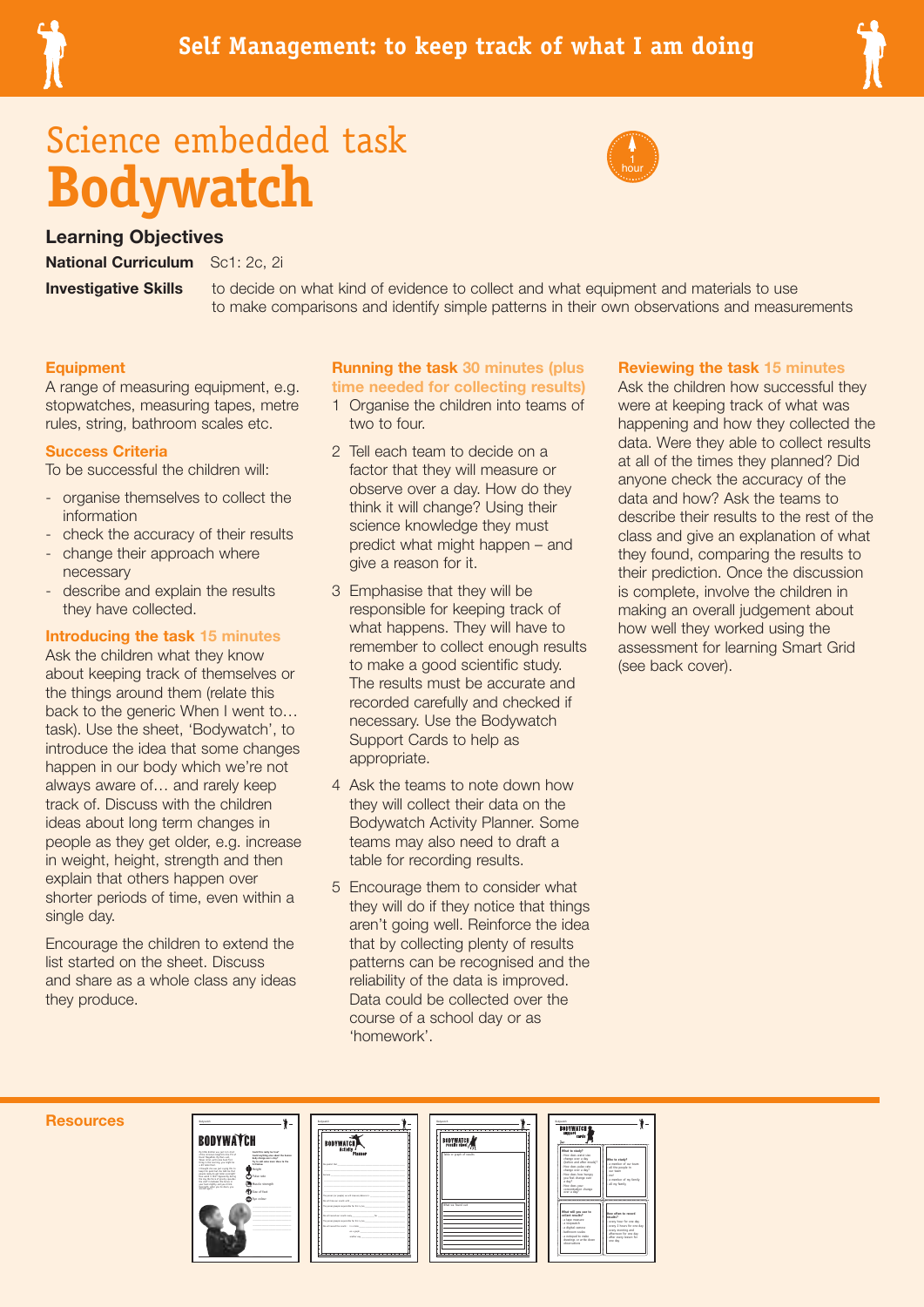

## Science embedded task **Bodywatch**



#### **Learning Objectives**

**National Curriculum** Sc1: 2c, 2i

**Investigative Skills** to decide on what kind of evidence to collect and what equipment and materials to use to make comparisons and identify simple patterns in their own observations and measurements

#### **Equipment**

A range of measuring equipment, e.g. stopwatches, measuring tapes, metre rules, string, bathroom scales etc.

#### **Success Criteria**

To be successful the children will:

- organise themselves to collect the information
- check the accuracy of their results
- change their approach where necessary
- describe and explain the results they have collected.

#### **Introducing the task 15 minutes**

Ask the children what they know about keeping track of themselves or the things around them (relate this back to the generic When I went to… task). Use the sheet, 'Bodywatch', to introduce the idea that some changes happen in our body which we're not always aware of… and rarely keep track of. Discuss with the children ideas about long term changes in people as they get older, e.g. increase in weight, height, strength and then explain that others happen over shorter periods of time, even within a single day.

Encourage the children to extend the list started on the sheet. Discuss and share as a whole class any ideas they produce.

#### **Running the task 30 minutes (plus time needed for collecting results)**

- 1 Organise the children into teams of two to four.
- 2 Tell each team to decide on a factor that they will measure or observe over a day. How do they think it will change? Using their science knowledge they must predict what might happen – and give a reason for it.
- 3 Emphasise that they will be responsible for keeping track of what happens. They will have to remember to collect enough results to make a good scientific study. The results must be accurate and recorded carefully and checked if necessary. Use the Bodywatch Support Cards to help as appropriate.
- 4 Ask the teams to note down how they will collect their data on the Bodywatch Activity Planner. Some teams may also need to draft a table for recording results.
- 5 Encourage them to consider what they will do if they notice that things aren't going well. Reinforce the idea that by collecting plenty of results patterns can be recognised and the reliability of the data is improved. Data could be collected over the course of a school day or as 'homework'.

#### **Reviewing the task 15 minutes**

Ask the children how successful they were at keeping track of what was happening and how they collected the data. Were they able to collect results at all of the times they planned? Did anyone check the accuracy of the data and how? Ask the teams to describe their results to the rest of the class and give an explanation of what they found, comparing the results to their prediction. Once the discussion is complete, involve the children in making an overall judgement about how well they worked using the assessment for learning Smart Grid (see back cover).

#### **Resources**



|                                                                                                                                                                                                                  |                                    | <b>Badowatch</b>                                                                                                   |
|------------------------------------------------------------------------------------------------------------------------------------------------------------------------------------------------------------------|------------------------------------|--------------------------------------------------------------------------------------------------------------------|
|                                                                                                                                                                                                                  |                                    | <b>BODYWATCH</b><br>Activity<br>Plasner                                                                            |
|                                                                                                                                                                                                                  |                                    |                                                                                                                    |
|                                                                                                                                                                                                                  |                                    | the possible that the company of the company of the company of the company of                                      |
|                                                                                                                                                                                                                  |                                    | the contract of the contract of the contract of the                                                                |
|                                                                                                                                                                                                                  |                                    | <b>Between 19</b>                                                                                                  |
|                                                                                                                                                                                                                  |                                    |                                                                                                                    |
|                                                                                                                                                                                                                  |                                    |                                                                                                                    |
|                                                                                                                                                                                                                  |                                    |                                                                                                                    |
|                                                                                                                                                                                                                  |                                    | He will take our results with<br>The agreeminated assessment for this in law                                       |
|                                                                                                                                                                                                                  |                                    |                                                                                                                    |
|                                                                                                                                                                                                                  |                                    | the will record our results many to the three top the three countries are the                                      |
|                                                                                                                                                                                                                  |                                    | The person (prople responsible for this is law                                                                     |
|                                                                                                                                                                                                                  |                                    | the will expect the results: In a table                                                                            |
|                                                                                                                                                                                                                  |                                    | magazine and control to the con-<br>amount of the control of the control of the control of the control of the con- |
|                                                                                                                                                                                                                  |                                    |                                                                                                                    |
| Could this really be true?<br>bady change more a day?<br>The tie weld severe more bilines to the<br><b>But before.</b><br>Helght<br>Pulse rate<br>Muscle strength<br>(3) Size of feet<br>$\mathbf{D}$ for colour | Could problem stor about the human |                                                                                                                    |

|   |  | halywatch                  |
|---|--|----------------------------|
| Ī |  | <b>BODYWATCH</b>           |
|   |  | Table or graph of results. |
|   |  |                            |
|   |  | What we found out          |
|   |  |                            |
|   |  |                            |
|   |  |                            |

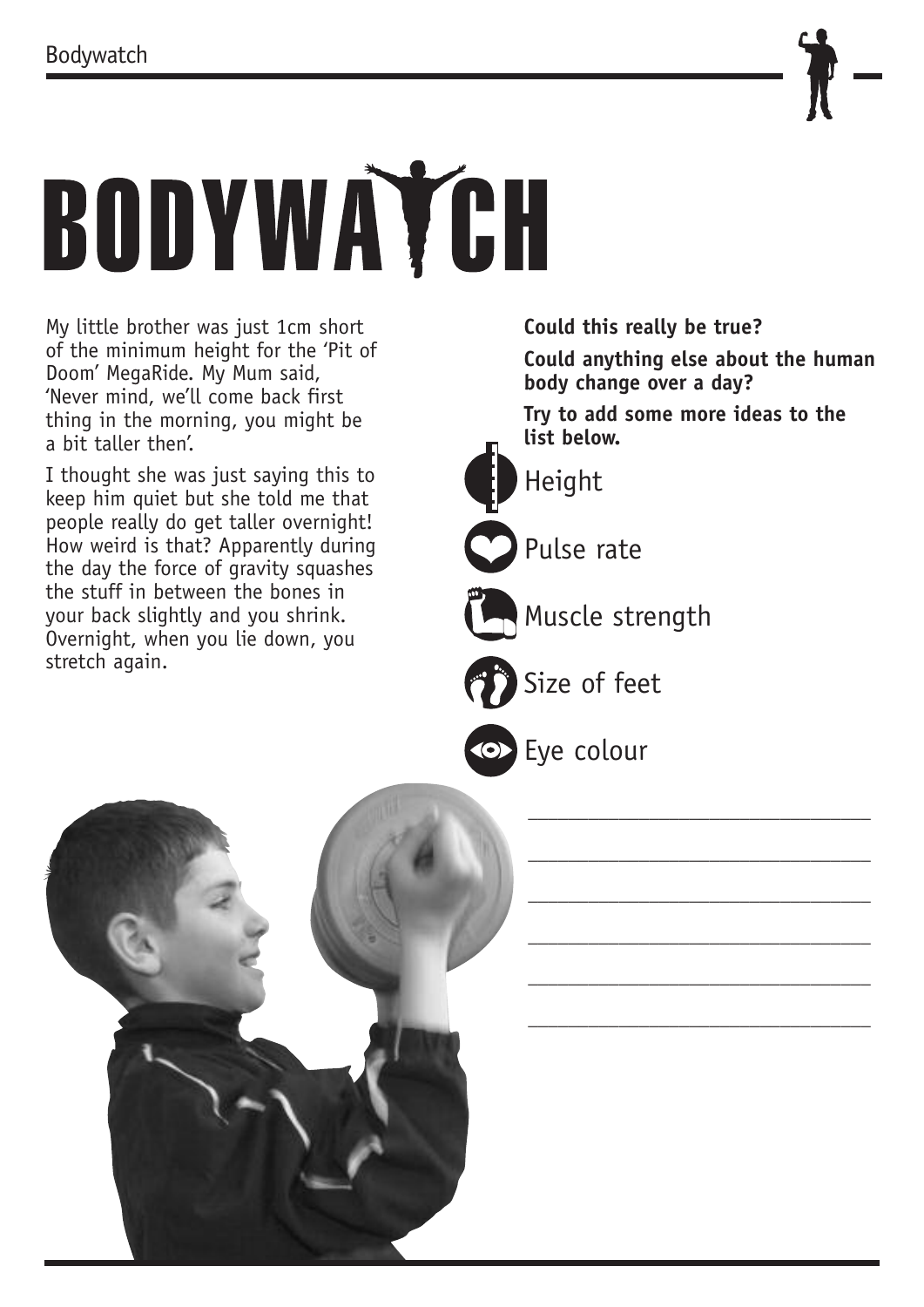

# BODYWAYCH

My little brother was just 1cm short of the minimum height for the 'Pit of Doom' MegaRide. My Mum said, 'Never mind, we'll come back first thing in the morning, you might be a bit taller then'.

I thought she was just saying this to keep him quiet but she told me that people really do get taller overnight! How weird is that? Apparently during the day the force of gravity squashes the stuff in between the bones in your back slightly and you shrink. Overnight, when you lie down, you stretch again.

**Could this really be true?** 

**Could anything else about the human body change over a day?** 

\_\_\_\_\_\_\_\_\_\_\_\_\_\_\_\_\_\_\_\_\_\_\_\_\_\_\_\_\_\_\_\_\_\_

\_\_\_\_\_\_\_\_\_\_\_\_\_\_\_\_\_\_\_\_\_\_\_\_\_\_\_\_\_\_\_\_\_\_

\_\_\_\_\_\_\_\_\_\_\_\_\_\_\_\_\_\_\_\_\_\_\_\_\_\_\_\_\_\_\_\_\_\_

\_\_\_\_\_\_\_\_\_\_\_\_\_\_\_\_\_\_\_\_\_\_\_\_\_\_\_\_\_\_\_\_\_\_

\_\_\_\_\_\_\_\_\_\_\_\_\_\_\_\_\_\_\_\_\_\_\_\_\_\_\_\_\_\_\_\_\_\_

\_\_\_\_\_\_\_\_\_\_\_\_\_\_\_\_\_\_\_\_\_\_\_\_\_\_\_\_\_\_\_\_\_\_

**Try to add some more ideas to the list below.**



Height

Pulse rate



Muscle strength

Size of feet

Eye colour

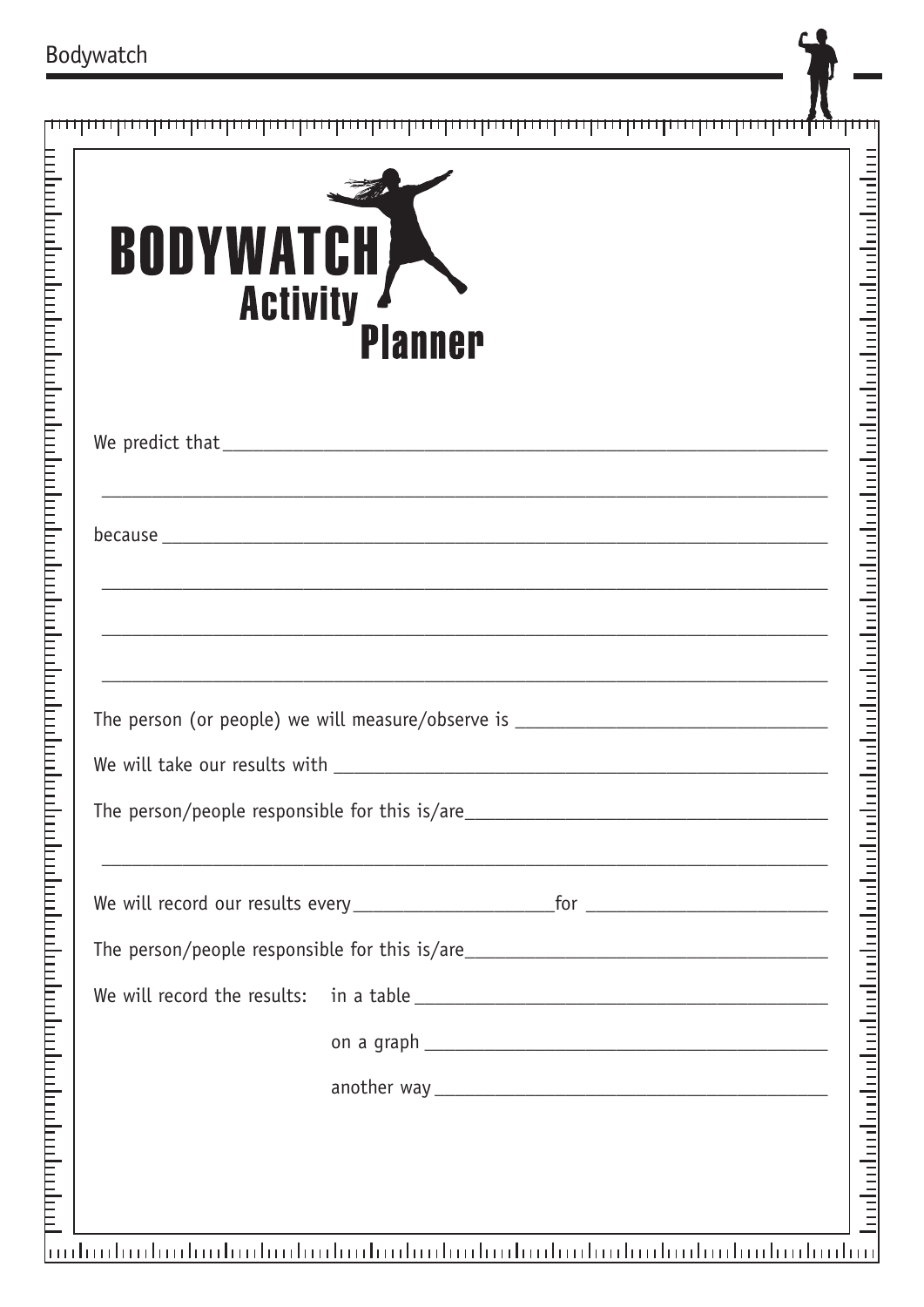| Bodywatch                                                                                                      |                                                              |
|----------------------------------------------------------------------------------------------------------------|--------------------------------------------------------------|
|                                                                                                                |                                                              |
| BODYWATCH<br><b>Activity</b><br><b>Planner</b>                                                                 |                                                              |
|                                                                                                                |                                                              |
| because                                                                                                        |                                                              |
|                                                                                                                |                                                              |
| The person (or people) we will measure/observe is _______________________________                              |                                                              |
| The person/people responsible for this is/are___________________________________                               |                                                              |
|                                                                                                                |                                                              |
| The person/people responsible for this is/are___________________________________                               |                                                              |
|                                                                                                                |                                                              |
|                                                                                                                | <u>indinationtroducitiontroducitiontroducitiontroducitio</u> |
| u di matematika di kacamatan dan matematika di kacamatan dan matematika di kacamatan dan matematika di kacamat |                                                              |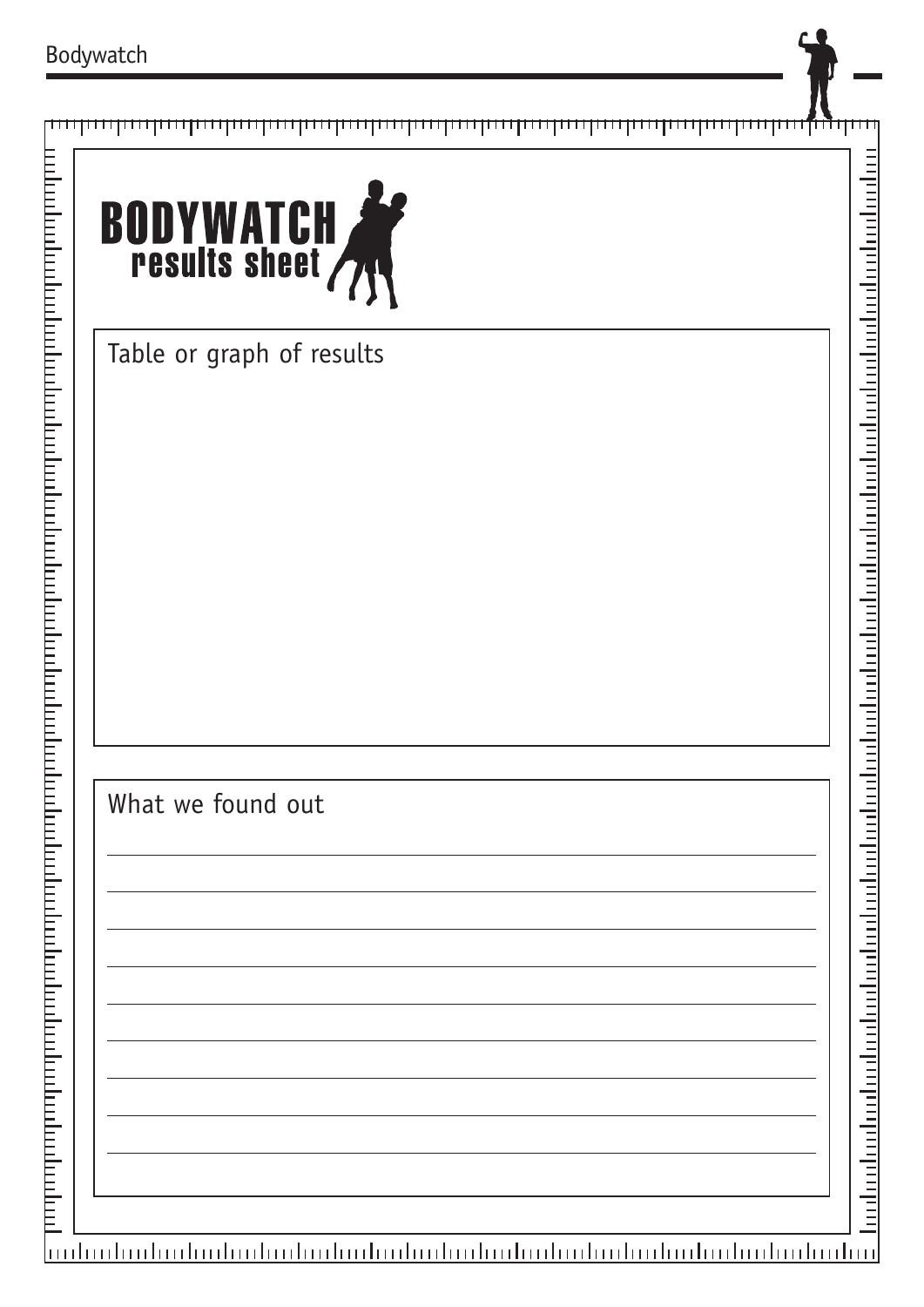#### րուղությունը հայտարարությունը հայտարարությունը հայտարարությունը հայտարարու**մ**ի մեր



Table or graph of results

### What we found out